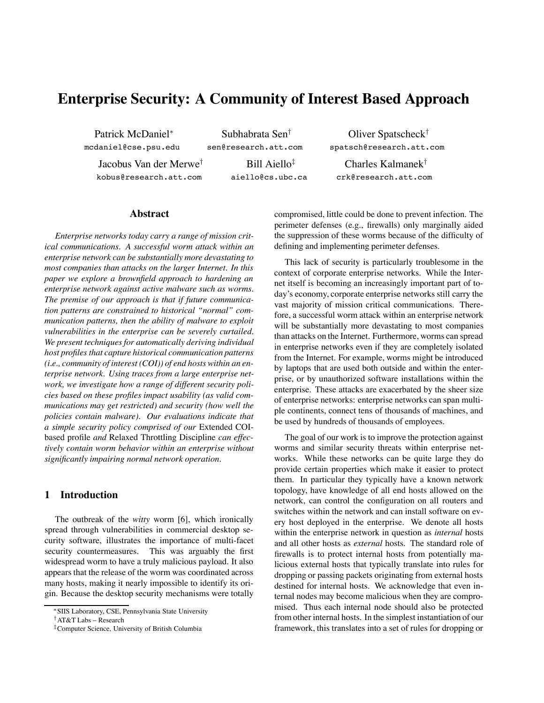# **Enterprise Security: A Community of Interest Based Approach**

Patrick McDaniel<sup>∗</sup> mcdaniel@cse.psu.edu

Subhabrata Sen† sen@research.att.com

Jacobus Van der Merwe† kobus@research.att.com

Bill Aiello‡ aiello@cs.ubc.ca

Oliver Spatscheck† spatsch@research.att.com

Charles Kalmanek† crk@research.att.com

#### **Abstract**

*Enterprise networks today carry a range of mission critical communications. A successful worm attack within an enterprise network can be substantially more devastating to most companies than attacks on the larger Internet. In this paper we explore a brownfield approach to hardening an enterprise network against active malware such as worms. The premise of our approach is that if future communication patterns are constrained to historical "normal" communication patterns, then the ability of malware to exploit vulnerabilities in the enterprise can be severely curtailed. We present techniquesfor automatically deriving individual host profiles that capture historical communication patterns (i.e., community of interest (COI)) of end hosts within an enterprise network. Using traces from a large enterprise network, we investigate how a range of different security policies based on these profiles impact usability (as valid communications may get restricted) and security (how well the policies contain malware). Our evaluations indicate that a simple security policy comprised of our* Extended COIbased profile *and* Relaxed Throttling Discipline *can effectively contain worm behavior within an enterprise without significantly impairing normal network operation.*

## **1 Introduction**

The outbreak of the *witty* worm [6], which ironically spread through vulnerabilities in commercial desktop security software, illustrates the importance of multi-facet security countermeasures. This was arguably the first widespread worm to have a truly malicious payload. It also appears that the release of the worm was coordinated across many hosts, making it nearly impossible to identify its origin. Because the desktop security mechanisms were totally compromised, little could be done to prevent infection. The perimeter defenses (e.g., firewalls) only marginally aided the suppression of these worms because of the difficulty of defining and implementing perimeter defenses.

This lack of security is particularly troublesome in the context of corporate enterprise networks. While the Internet itself is becoming an increasingly important part of today's economy, corporate enterprise networks still carry the vast majority of mission critical communications. Therefore, a successful worm attack within an enterprise network will be substantially more devastating to most companies than attacks on the Internet. Furthermore, worms can spread in enterprise networks even if they are completely isolated from the Internet. For example, worms might be introduced by laptops that are used both outside and within the enterprise, or by unauthorized software installations within the enterprise. These attacks are exacerbated by the sheer size of enterprise networks: enterprise networks can span multiple continents, connect tens of thousands of machines, and be used by hundreds of thousands of employees.

The goal of our work is to improve the protection against worms and similar security threats within enterprise networks. While these networks can be quite large they do provide certain properties which make it easier to protect them. In particular they typically have a known network topology, have knowledge of all end hosts allowed on the network, can control the configuration on all routers and switches within the network and can install software on every host deployed in the enterprise. We denote all hosts within the enterprise network in question as *internal* hosts and all other hosts as *external* hosts. The standard role of firewalls is to protect internal hosts from potentially malicious external hosts that typically translate into rules for dropping or passing packets originating from external hosts destined for internal hosts. We acknowledge that even internal nodes may become malicious when they are compromised. Thus each internal node should also be protected from other internal hosts. In the simplest instantiation of our framework, this translates into a set of rules for dropping or

<sup>∗</sup>SIIS Laboratory, CSE, Pennsylvania State University

<sup>†</sup>AT&T Labs – Research

<sup>‡</sup>Computer Science, University of British Columbia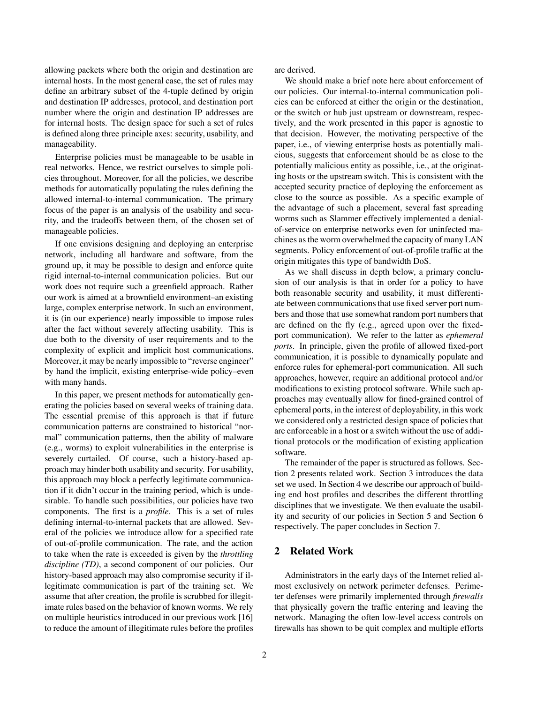allowing packets where both the origin and destination are internal hosts. In the most general case, the set of rules may define an arbitrary subset of the 4-tuple defined by origin and destination IP addresses, protocol, and destination port number where the origin and destination IP addresses are for internal hosts. The design space for such a set of rules is defined along three principle axes: security, usability, and manageability.

Enterprise policies must be manageable to be usable in real networks. Hence, we restrict ourselves to simple policies throughout. Moreover, for all the policies, we describe methods for automatically populating the rules defining the allowed internal-to-internal communication. The primary focus of the paper is an analysis of the usability and security, and the tradeoffs between them, of the chosen set of manageable policies.

If one envisions designing and deploying an enterprise network, including all hardware and software, from the ground up, it may be possible to design and enforce quite rigid internal-to-internal communication policies. But our work does not require such a greenfield approach. Rather our work is aimed at a brownfield environment–an existing large, complex enterprise network. In such an environment, it is (in our experience) nearly impossible to impose rules after the fact without severely affecting usability. This is due both to the diversity of user requirements and to the complexity of explicit and implicit host communications. Moreover, it may be nearly impossible to "reverse engineer" by hand the implicit, existing enterprise-wide policy–even with many hands.

In this paper, we present methods for automatically generating the policies based on several weeks of training data. The essential premise of this approach is that if future communication patterns are constrained to historical "normal" communication patterns, then the ability of malware (e.g., worms) to exploit vulnerabilities in the enterprise is severely curtailed. Of course, such a history-based approach may hinder both usability and security. For usability, this approach may block a perfectly legitimate communication if it didn't occur in the training period, which is undesirable. To handle such possibilities, our policies have two components. The first is a *profile*. This is a set of rules defining internal-to-internal packets that are allowed. Several of the policies we introduce allow for a specified rate of out-of-profile communication. The rate, and the action to take when the rate is exceeded is given by the *throttling discipline (TD)*, a second component of our policies. Our history-based approach may also compromise security if illegitimate communication is part of the training set. We assume that after creation, the profile is scrubbed for illegitimate rules based on the behavior of known worms. We rely on multiple heuristics introduced in our previous work [16] to reduce the amount of illegitimate rules before the profiles

are derived.

We should make a brief note here about enforcement of our policies. Our internal-to-internal communication policies can be enforced at either the origin or the destination, or the switch or hub just upstream or downstream, respectively, and the work presented in this paper is agnostic to that decision. However, the motivating perspective of the paper, i.e., of viewing enterprise hosts as potentially malicious, suggests that enforcement should be as close to the potentially malicious entity as possible, i.e., at the originating hosts or the upstream switch. This is consistent with the accepted security practice of deploying the enforcement as close to the source as possible. As a specific example of the advantage of such a placement, several fast spreading worms such as Slammer effectively implemented a denialof-service on enterprise networks even for uninfected machines asthe worm overwhelmed the capacity of many LAN segments. Policy enforcement of out-of-profile traffic at the origin mitigates this type of bandwidth DoS.

As we shall discuss in depth below, a primary conclusion of our analysis is that in order for a policy to have both reasonable security and usability, it must differentiate between communications that use fixed server port numbers and those that use somewhat random port numbers that are defined on the fly (e.g., agreed upon over the fixedport communication). We refer to the latter as *ephemeral ports*. In principle, given the profile of allowed fixed-port communication, it is possible to dynamically populate and enforce rules for ephemeral-port communication. All such approaches, however, require an additional protocol and/or modifications to existing protocol software. While such approaches may eventually allow for fined-grained control of ephemeral ports, in the interest of deployability, in this work we considered only a restricted design space of policies that are enforceable in a host or a switch without the use of additional protocols or the modification of existing application software.

The remainder of the paper is structured as follows. Section 2 presents related work. Section 3 introduces the data set we used. In Section 4 we describe our approach of building end host profiles and describes the different throttling disciplines that we investigate. We then evaluate the usability and security of our policies in Section 5 and Section 6 respectively. The paper concludes in Section 7.

## **2 Related Work**

Administrators in the early days of the Internet relied almost exclusively on network perimeter defenses. Perimeter defenses were primarily implemented through *firewalls* that physically govern the traffic entering and leaving the network. Managing the often low-level access controls on firewalls has shown to be quit complex and multiple efforts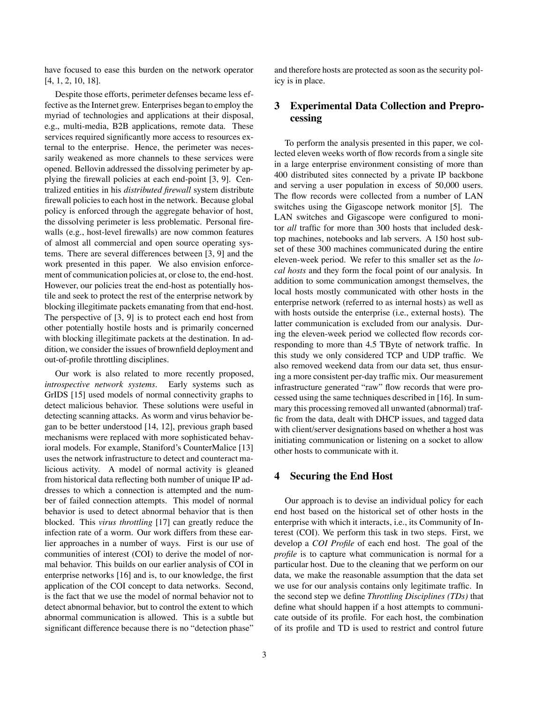have focused to ease this burden on the network operator [4, 1, 2, 10, 18].

Despite those efforts, perimeter defenses became less effective as the Internet grew. Enterprises began to employ the myriad of technologies and applications at their disposal, e.g., multi-media, B2B applications, remote data. These services required significantly more access to resources external to the enterprise. Hence, the perimeter was necessarily weakened as more channels to these services were opened. Bellovin addressed the dissolving perimeter by applying the firewall policies at each end-point [3, 9]. Centralized entities in his *distributed firewall* system distribute firewall policies to each host in the network. Because global policy is enforced through the aggregate behavior of host, the dissolving perimeter is less problematic. Personal firewalls (e.g., host-level firewalls) are now common features of almost all commercial and open source operating systems. There are several differences between [3, 9] and the work presented in this paper. We also envision enforcement of communication policies at, or close to, the end-host. However, our policies treat the end-host as potentially hostile and seek to protect the rest of the enterprise network by blocking illegitimate packets emanating from that end-host. The perspective of [3, 9] is to protect each end host from other potentially hostile hosts and is primarily concerned with blocking illegitimate packets at the destination. In addition, we consider the issues of brownfield deployment and out-of-profile throttling disciplines.

Our work is also related to more recently proposed, *introspective network systems*. Early systems such as GrIDS [15] used models of normal connectivity graphs to detect malicious behavior. These solutions were useful in detecting scanning attacks. As worm and virus behavior began to be better understood [14, 12], previous graph based mechanisms were replaced with more sophisticated behavioral models. For example, Staniford's CounterMalice [13] uses the network infrastructure to detect and counteract malicious activity. A model of normal activity is gleaned from historical data reflecting both number of unique IP addresses to which a connection is attempted and the number of failed connection attempts. This model of normal behavior is used to detect abnormal behavior that is then blocked. This *virus throttling* [17] can greatly reduce the infection rate of a worm. Our work differs from these earlier approaches in a number of ways. First is our use of communities of interest (COI) to derive the model of normal behavior. This builds on our earlier analysis of COI in enterprise networks [16] and is, to our knowledge, the first application of the COI concept to data networks. Second, is the fact that we use the model of normal behavior not to detect abnormal behavior, but to control the extent to which abnormal communication is allowed. This is a subtle but significant difference because there is no "detection phase"

and therefore hosts are protected as soon as the security policy is in place.

## **3 Experimental Data Collection and Preprocessing**

To perform the analysis presented in this paper, we collected eleven weeks worth of flow records from a single site in a large enterprise environment consisting of more than 400 distributed sites connected by a private IP backbone and serving a user population in excess of 50,000 users. The flow records were collected from a number of LAN switches using the Gigascope network monitor [5]. The LAN switches and Gigascope were configured to monitor *all* traffic for more than 300 hosts that included desktop machines, notebooks and lab servers. A 150 host subset of these 300 machines communicated during the entire eleven-week period. We refer to this smaller set as the *local hosts* and they form the focal point of our analysis. In addition to some communication amongst themselves, the local hosts mostly communicated with other hosts in the enterprise network (referred to as internal hosts) as well as with hosts outside the enterprise (i.e., external hosts). The latter communication is excluded from our analysis. During the eleven-week period we collected flow records corresponding to more than 4.5 TByte of network traffic. In this study we only considered TCP and UDP traffic. We also removed weekend data from our data set, thus ensuring a more consistent per-day traffic mix. Our measurement infrastructure generated "raw" flow records that were processed using the same techniques described in [16]. In summary this processing removed all unwanted (abnormal) traffic from the data, dealt with DHCP issues, and tagged data with client/server designations based on whether a host was initiating communication or listening on a socket to allow other hosts to communicate with it.

## **4 Securing the End Host**

Our approach is to devise an individual policy for each end host based on the historical set of other hosts in the enterprise with which it interacts, i.e., its Community of Interest (COI). We perform this task in two steps. First, we develop a *COI Profile* of each end host. The goal of the *profile* is to capture what communication is normal for a particular host. Due to the cleaning that we perform on our data, we make the reasonable assumption that the data set we use for our analysis contains only legitimate traffic. In the second step we define *Throttling Disciplines (TDs)* that define what should happen if a host attempts to communicate outside of its profile. For each host, the combination of its profile and TD is used to restrict and control future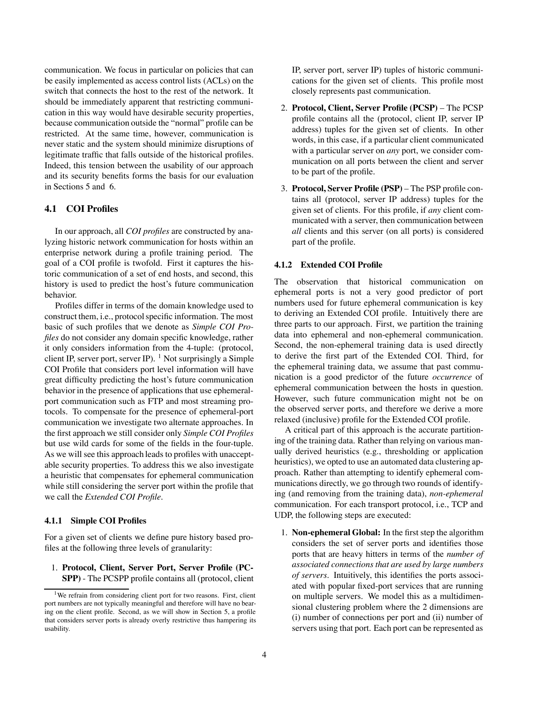communication. We focus in particular on policies that can be easily implemented as access control lists (ACLs) on the switch that connects the host to the rest of the network. It should be immediately apparent that restricting communication in this way would have desirable security properties, because communication outside the "normal" profile can be restricted. At the same time, however, communication is never static and the system should minimize disruptions of legitimate traffic that falls outside of the historical profiles. Indeed, this tension between the usability of our approach and its security benefits forms the basis for our evaluation in Sections 5 and 6.

#### **4.1 COI Profiles**

In our approach, all *COI profiles* are constructed by analyzing historic network communication for hosts within an enterprise network during a profile training period. The goal of a COI profile is twofold. First it captures the historic communication of a set of end hosts, and second, this history is used to predict the host's future communication behavior.

Profiles differ in terms of the domain knowledge used to construct them, i.e., protocol specific information. The most basic of such profiles that we denote as *Simple COI Profiles* do not consider any domain specific knowledge, rather it only considers information from the 4-tuple: (protocol, client IP, server port, server IP). <sup>1</sup> Not surprisingly a Simple COI Profile that considers port level information will have great difficulty predicting the host's future communication behavior in the presence of applications that use ephemeralport communication such as FTP and most streaming protocols. To compensate for the presence of ephemeral-port communication we investigate two alternate approaches. In the first approach we still consider only *Simple COI Profiles* but use wild cards for some of the fields in the four-tuple. As we will see this approach leads to profiles with unacceptable security properties. To address this we also investigate a heuristic that compensates for ephemeral communication while still considering the server port within the profile that we call the *Extended COI Profile*.

#### **4.1.1 Simple COI Profiles**

For a given set of clients we define pure history based profiles at the following three levels of granularity:

1. **Protocol, Client, Server Port, Server Profile (PC-SPP)** - The PCSPP profile contains all (protocol, client IP, server port, server IP) tuples of historic communications for the given set of clients. This profile most closely represents past communication.

- 2. **Protocol, Client, Server Profile (PCSP)** The PCSP profile contains all the (protocol, client IP, server IP address) tuples for the given set of clients. In other words, in this case, if a particular client communicated with a particular server on *any* port, we consider communication on all ports between the client and server to be part of the profile.
- 3. **Protocol, Server Profile (PSP)** The PSP profile contains all (protocol, server IP address) tuples for the given set of clients. For this profile, if *any* client communicated with a server, then communication between *all* clients and this server (on all ports) is considered part of the profile.

#### **4.1.2 Extended COI Profile**

The observation that historical communication on ephemeral ports is not a very good predictor of port numbers used for future ephemeral communication is key to deriving an Extended COI profile. Intuitively there are three parts to our approach. First, we partition the training data into ephemeral and non-ephemeral communication. Second, the non-ephemeral training data is used directly to derive the first part of the Extended COI. Third, for the ephemeral training data, we assume that past communication is a good predictor of the future *occurrence* of ephemeral communication between the hosts in question. However, such future communication might not be on the observed server ports, and therefore we derive a more relaxed (inclusive) profile for the Extended COI profile.

A critical part of this approach is the accurate partitioning of the training data. Rather than relying on various manually derived heuristics (e.g., thresholding or application heuristics), we opted to use an automated data clustering approach. Rather than attempting to identify ephemeral communications directly, we go through two rounds of identifying (and removing from the training data), *non-ephemeral* communication. For each transport protocol, i.e., TCP and UDP, the following steps are executed:

1. **Non-ephemeral Global:** In the first step the algorithm considers the set of server ports and identifies those ports that are heavy hitters in terms of the *number of associated connections that are used by large numbers of servers*. Intuitively, this identifies the ports associated with popular fixed-port services that are running on multiple servers. We model this as a multidimensional clustering problem where the 2 dimensions are (i) number of connections per port and (ii) number of servers using that port. Each port can be represented as

<sup>&</sup>lt;sup>1</sup>We refrain from considering client port for two reasons. First, client port numbers are not typically meaningful and therefore will have no bearing on the client profile. Second, as we will show in Section 5, a profile that considers server ports is already overly restrictive thus hampering its usability.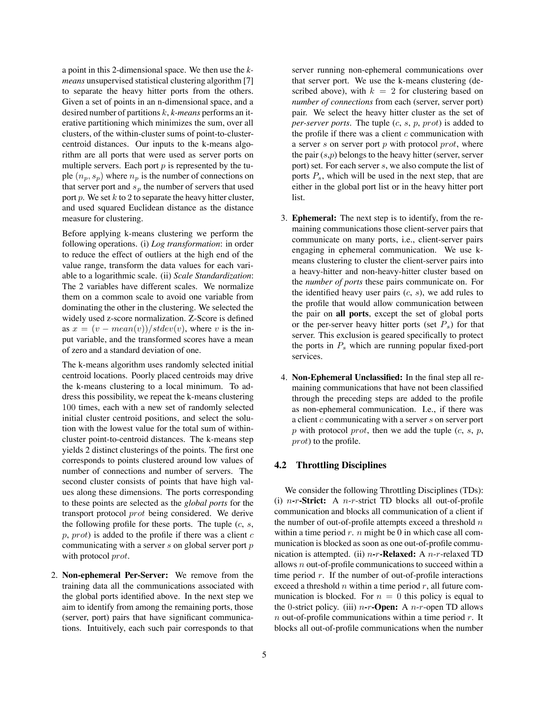a point in this 2-dimensional space. We then use the *kmeans* unsupervised statistical clustering algorithm [7] to separate the heavy hitter ports from the others. Given a set of points in an n-dimensional space, and a desired number of partitions k, *k-means* performs an iterative partitioning which minimizes the sum, over all clusters, of the within-cluster sums of point-to-clustercentroid distances. Our inputs to the k-means algorithm are all ports that were used as server ports on multiple servers. Each port  $p$  is represented by the tuple  $(n_p, s_p)$  where  $n_p$  is the number of connections on that server port and  $s_p$  the number of servers that used port  $p$ . We set  $k$  to 2 to separate the heavy hitter cluster, and used squared Euclidean distance as the distance measure for clustering.

Before applying k-means clustering we perform the following operations. (i) *Log transformation*: in order to reduce the effect of outliers at the high end of the value range, transform the data values for each variable to a logarithmic scale. (ii) *Scale Standardization*: The 2 variables have different scales. We normalize them on a common scale to avoid one variable from dominating the other in the clustering. We selected the widely used z-score normalization. Z-Score is defined as  $x = (v - mean(v))/stdev(v)$ , where v is the input variable, and the transformed scores have a mean of zero and a standard deviation of one.

The k-means algorithm uses randomly selected initial centroid locations. Poorly placed centroids may drive the k-means clustering to a local minimum. To address this possibility, we repeat the k-means clustering 100 times, each with a new set of randomly selected initial cluster centroid positions, and select the solution with the lowest value for the total sum of withincluster point-to-centroid distances. The k-means step yields 2 distinct clusterings of the points. The first one corresponds to points clustered around low values of number of connections and number of servers. The second cluster consists of points that have high values along these dimensions. The ports corresponding to these points are selected as the *global ports* for the transport protocol prot being considered. We derive the following profile for these ports. The tuple  $(c, s, \cdot)$  $p, prot)$  is added to the profile if there was a client  $c$ communicating with a server  $s$  on global server port  $p$ with protocol prot.

2. **Non-ephemeral Per-Server:** We remove from the training data all the communications associated with the global ports identified above. In the next step we aim to identify from among the remaining ports, those (server, port) pairs that have significant communications. Intuitively, each such pair corresponds to that server running non-ephemeral communications over that server port. We use the k-means clustering (described above), with  $k = 2$  for clustering based on *number of connections* from each (server, server port) pair. We select the heavy hitter cluster as the set of *per-server ports*. The tuple (c, s, p, prot) is added to the profile if there was a client  $c$  communication with a server  $s$  on server port  $p$  with protocol  $prot$ , where the pair  $(s,p)$  belongs to the heavy hitter (server, server port) set. For each server s, we also compute the list of ports  $P_s$ , which will be used in the next step, that are either in the global port list or in the heavy hitter port list.

- 3. **Ephemeral:** The next step is to identify, from the remaining communications those client-server pairs that communicate on many ports, i.e., client-server pairs engaging in ephemeral communication. We use kmeans clustering to cluster the client-server pairs into a heavy-hitter and non-heavy-hitter cluster based on the *number of ports* these pairs communicate on. For the identified heavy user pairs  $(c, s)$ , we add rules to the profile that would allow communication between the pair on **all ports**, except the set of global ports or the per-server heavy hitter ports (set  $P_s$ ) for that server. This exclusion is geared specifically to protect the ports in  $P_s$  which are running popular fixed-port services.
- 4. **Non-Ephemeral Unclassified:** In the final step all remaining communications that have not been classified through the preceding steps are added to the profile as non-ephemeral communication. I.e., if there was a client  $c$  communicating with a server  $s$  on server port p with protocol prot, then we add the tuple  $(c, s, p, z)$ prot) to the profile.

#### **4.2 Throttling Disciplines**

We consider the following Throttling Disciplines (TDs): (i) n**-**r**-Strict:** A n-r-strict TD blocks all out-of-profile communication and blocks all communication of a client if the number of out-of-profile attempts exceed a threshold  $n$ within a time period  $r$ .  $n$  might be 0 in which case all communication is blocked as soon as one out-of-profile communication is attempted. (ii) n**-**r**-Relaxed:** A n-r-relaxed TD allows  $n$  out-of-profile communications to succeed within a time period  $r$ . If the number of out-of-profile interactions exceed a threshold  $n$  within a time period  $r$ , all future communication is blocked. For  $n = 0$  this policy is equal to the 0-strict policy. (iii) n**-**r**-Open:** A n-r-open TD allows  $n$  out-of-profile communications within a time period  $r$ . It blocks all out-of-profile communications when the number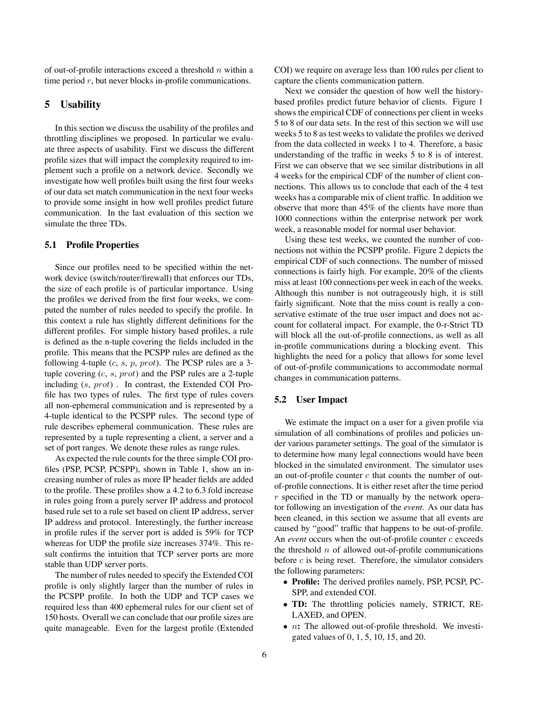of out-of-profile interactions exceed a threshold  $n$  within a time period  $r$ , but never blocks in-profile communications.

## **5 Usability**

In this section we discuss the usability of the profiles and throttling disciplines we proposed. In particular we evaluate three aspects of usability. First we discuss the different profile sizes that will impact the complexity required to implement such a profile on a network device. Secondly we investigate how well profiles built using the first four weeks of our data set match communication in the next four weeks to provide some insight in how well profiles predict future communication. In the last evaluation of this section we simulate the three TDs.

#### **5.1 Profile Properties**

Since our profiles need to be specified within the network device (switch/router/firewall) that enforces our TDs, the size of each profile is of particular importance. Using the profiles we derived from the first four weeks, we computed the number of rules needed to specify the profile. In this context a rule has slightly different definitions for the different profiles. For simple history based profiles, a rule is defined as the n-tuple covering the fields included in the profile. This means that the PCSPP rules are defined as the following 4-tuple  $(c, s, p, prot)$ . The PCSP rules are a 3tuple covering  $(c, s, prot)$  and the PSP rules are a 2-tuple including (s, prot) . In contrast, the Extended COI Profile has two types of rules. The first type of rules covers all non-ephemeral communication and is represented by a 4-tuple identical to the PCSPP rules. The second type of rule describes ephemeral communication. These rules are represented by a tuple representing a client, a server and a set of port ranges. We denote these rules as range rules.

As expected the rule counts for the three simple COI profiles (PSP, PCSP, PCSPP), shown in Table 1, show an increasing number of rules as more IP header fields are added to the profile. These profiles show a 4.2 to 6.3 fold increase in rules going from a purely server IP address and protocol based rule set to a rule set based on client IP address, server IP address and protocol. Interestingly, the further increase in profile rules if the server port is added is 59% for TCP whereas for UDP the profile size increases 374%. This result confirms the intuition that TCP server ports are more stable than UDP server ports.

The number of rules needed to specify the Extended COI profile is only slightly larger than the number of rules in the PCSPP profile. In both the UDP and TCP cases we required less than 400 ephemeral rules for our client set of 150 hosts. Overall we can conclude that our profile sizes are quite manageable. Even for the largest profile (Extended COI) we require on average less than 100 rules per client to capture the clients communication pattern.

Next we consider the question of how well the historybased profiles predict future behavior of clients. Figure 1 shows the empirical CDF of connections per client in weeks 5 to 8 of our data sets. In the rest of this section we will use weeks 5 to 8 as test weeks to validate the profiles we derived from the data collected in weeks 1 to 4. Therefore, a basic understanding of the traffic in weeks 5 to 8 is of interest. First we can observe that we see similar distributions in all 4 weeks for the empirical CDF of the number of client connections. This allows us to conclude that each of the 4 test weeks has a comparable mix of client traffic. In addition we observe that more than 45% of the clients have more than 1000 connections within the enterprise network per work week, a reasonable model for normal user behavior.

Using these test weeks, we counted the number of connections not within the PCSPP profile. Figure 2 depicts the empirical CDF of such connections. The number of missed connections is fairly high. For example, 20% of the clients miss at least 100 connections per week in each of the weeks. Although this number is not outrageously high, it is still fairly significant. Note that the miss count is really a conservative estimate of the true user impact and does not account for collateral impact. For example, the 0-r-Strict TD will block all the out-of-profile connections, as well as all in-profile communications during a blocking event. This highlights the need for a policy that allows for some level of out-of-profile communications to accommodate normal changes in communication patterns.

#### **5.2 User Impact**

We estimate the impact on a user for a given profile via simulation of all combinations of profiles and policies under various parameter settings. The goal of the simulator is to determine how many legal connections would have been blocked in the simulated environment. The simulator uses an out-of-profile counter  $c$  that counts the number of outof-profile connections. It is either reset after the time period  $r$  specified in the TD or manually by the network operator following an investigation of the *event*. As our data has been cleaned, in this section we assume that all events are caused by "good" traffic that happens to be out-of-profile. An *event* occurs when the out-of-profile counter c exceeds the threshold  $n$  of allowed out-of-profile communications before  $c$  is being reset. Therefore, the simulator considers the following parameters:

- **Profile:** The derived profiles namely, PSP, PCSP, PC-SPP, and extended COI.
- **TD:** The throttling policies namely, STRICT, RE-LAXED, and OPEN.
- *n*: The allowed out-of-profile threshold. We investigated values of 0, 1, 5, 10, 15, and 20.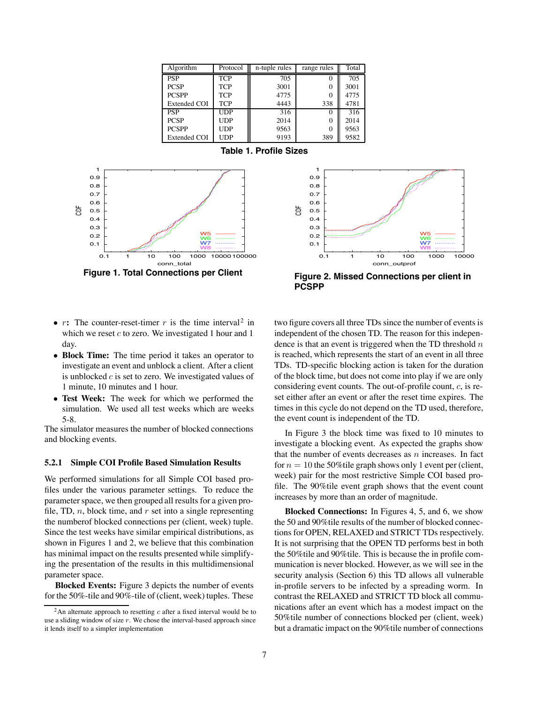| Algorithm           | Protocol   | n-tuple rules | range rules | Total |
|---------------------|------------|---------------|-------------|-------|
| <b>PSP</b>          | <b>TCP</b> | 705           |             | 705   |
| <b>PCSP</b>         | <b>TCP</b> | 3001          | $\Omega$    | 3001  |
| <b>PCSPP</b>        | <b>TCP</b> | 4775          | $\Omega$    | 4775  |
| <b>Extended COI</b> | <b>TCP</b> | 4443          | 338         | 4781  |
| <b>PSP</b>          | <b>UDP</b> | 316           |             | 316   |
| <b>PCSP</b>         | <b>UDP</b> | 2014          | $\Omega$    | 2014  |
| <b>PCSPP</b>        | <b>UDP</b> | 9563          | 0           | 9563  |
| <b>Extended COI</b> | <b>UDP</b> | 9193          | 389         | 9582  |

**Table 1. Profile Sizes**





**Figure 2. Missed Connections per client in PCSPP**

- $r$ **:** The counter-reset-timer  $r$  is the time interval<sup>2</sup> in which we reset  $c$  to zero. We investigated 1 hour and 1 day.
- **Block Time:** The time period it takes an operator to investigate an event and unblock a client. After a client is unblocked  $c$  is set to zero. We investigated values of 1 minute, 10 minutes and 1 hour.
- **Test Week:** The week for which we performed the simulation. We used all test weeks which are weeks 5-8.

The simulator measures the number of blocked connections and blocking events.

#### **5.2.1 Simple COI Profile Based Simulation Results**

We performed simulations for all Simple COI based profiles under the various parameter settings. To reduce the parameter space, we then grouped all results for a given profile, TD,  $n$ , block time, and  $r$  set into a single representing the numberof blocked connections per (client, week) tuple. Since the test weeks have similar empirical distributions, as shown in Figures 1 and 2, we believe that this combination has minimal impact on the results presented while simplifying the presentation of the results in this multidimensional parameter space.

**Blocked Events:** Figure 3 depicts the number of events for the 50%-tile and 90%-tile of (client, week) tuples. These two figure covers all three TDs since the number of events is independent of the chosen TD. The reason for this independence is that an event is triggered when the TD threshold  $n$ is reached, which represents the start of an event in all three TDs. TD-specific blocking action is taken for the duration of the block time, but does not come into play if we are only considering event counts. The out-of-profile count,  $c$ , is reset either after an event or after the reset time expires. The times in this cycle do not depend on the TD used, therefore, the event count is independent of the TD.

In Figure 3 the block time was fixed to 10 minutes to investigate a blocking event. As expected the graphs show that the number of events decreases as  $n$  increases. In fact for  $n = 10$  the 50% tile graph shows only 1 event per (client, week) pair for the most restrictive Simple COI based profile. The 90%tile event graph shows that the event count increases by more than an order of magnitude.

**Blocked Connections:** In Figures 4, 5, and 6, we show the 50 and 90%tile results of the number of blocked connections for OPEN, RELAXED and STRICT TDs respectively. It is not surprising that the OPEN TD performs best in both the 50%tile and 90%tile. This is because the in profile communication is never blocked. However, as we will see in the security analysis (Section 6) this TD allows all vulnerable in-profile servers to be infected by a spreading worm. In contrast the RELAXED and STRICT TD block all communications after an event which has a modest impact on the 50%tile number of connections blocked per (client, week) but a dramatic impact on the 90%tile number of connections

<sup>&</sup>lt;sup>2</sup>An alternate approach to resetting  $c$  after a fixed interval would be to use a sliding window of size  $r$ . We chose the interval-based approach since it lends itself to a simpler implementation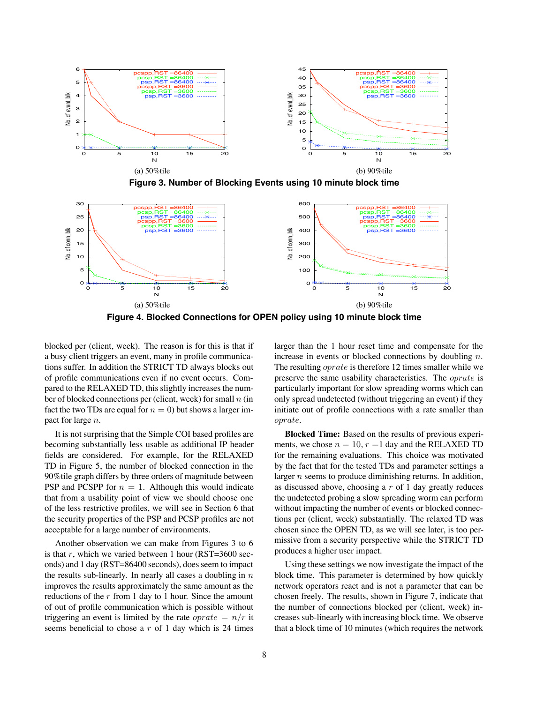

**Figure 3. Number of Blocking Events using 10 minute block time**





blocked per (client, week). The reason is for this is that if a busy client triggers an event, many in profile communications suffer. In addition the STRICT TD always blocks out of profile communications even if no event occurs. Compared to the RELAXED TD, this slightly increases the number of blocked connections per (client, week) for small  $n$  (in fact the two TDs are equal for  $n = 0$ ) but shows a larger impact for large n.

It is not surprising that the Simple COI based profiles are becoming substantially less usable as additional IP header fields are considered. For example, for the RELAXED TD in Figure 5, the number of blocked connection in the 90%tile graph differs by three orders of magnitude between PSP and PCSPP for  $n = 1$ . Although this would indicate that from a usability point of view we should choose one of the less restrictive profiles, we will see in Section 6 that the security properties of the PSP and PCSP profiles are not acceptable for a large number of environments.

Another observation we can make from Figures 3 to 6 is that r, which we varied between 1 hour (RST=3600 seconds) and 1 day (RST=86400 seconds), does seem to impact the results sub-linearly. In nearly all cases a doubling in  $n$ improves the results approximately the same amount as the reductions of the  $r$  from 1 day to 1 hour. Since the amount of out of profile communication which is possible without triggering an event is limited by the rate  $oprate = n/r$  it seems beneficial to chose a  $r$  of 1 day which is 24 times larger than the 1 hour reset time and compensate for the increase in events or blocked connections by doubling n. The resulting *oprate* is therefore 12 times smaller while we preserve the same usability characteristics. The oprate is particularly important for slow spreading worms which can only spread undetected (without triggering an event) if they initiate out of profile connections with a rate smaller than oprate.

**Blocked Time:** Based on the results of previous experiments, we chose  $n = 10$ ,  $r = 1$  day and the RELAXED TD for the remaining evaluations. This choice was motivated by the fact that for the tested TDs and parameter settings a larger *n* seems to produce diminishing returns. In addition, as discussed above, choosing a  $r$  of 1 day greatly reduces the undetected probing a slow spreading worm can perform without impacting the number of events or blocked connections per (client, week) substantially. The relaxed TD was chosen since the OPEN TD, as we will see later, is too permissive from a security perspective while the STRICT TD produces a higher user impact.

Using these settings we now investigate the impact of the block time. This parameter is determined by how quickly network operators react and is not a parameter that can be chosen freely. The results, shown in Figure 7, indicate that the number of connections blocked per (client, week) increases sub-linearly with increasing block time. We observe that a block time of 10 minutes (which requires the network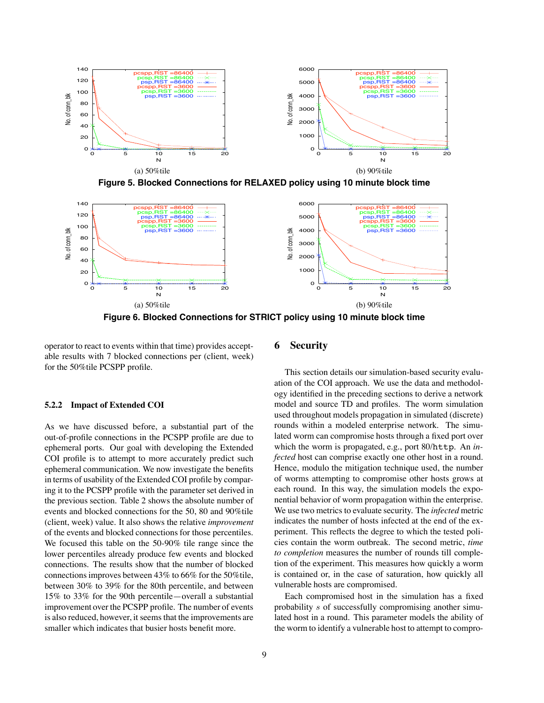

**Figure 5. Blocked Connections for RELAXED policy using 10 minute block time**



**Figure 6. Blocked Connections for STRICT policy using 10 minute block time**

operator to react to events within that time) provides acceptable results with 7 blocked connections per (client, week) for the 50%tile PCSPP profile.

## **5.2.2 Impact of Extended COI**

As we have discussed before, a substantial part of the out-of-profile connections in the PCSPP profile are due to ephemeral ports. Our goal with developing the Extended COI profile is to attempt to more accurately predict such ephemeral communication. We now investigate the benefits in terms of usability of the Extended COI profile by comparing it to the PCSPP profile with the parameter set derived in the previous section. Table 2 shows the absolute number of events and blocked connections for the 50, 80 and 90%tile (client, week) value. It also shows the relative *improvement* of the events and blocked connections for those percentiles. We focused this table on the 50-90% tile range since the lower percentiles already produce few events and blocked connections. The results show that the number of blocked connectionsimproves between 43% to 66% for the 50%tile, between 30% to 39% for the 80th percentile, and between 15% to 33% for the 90th percentile—overall a substantial improvement over the PCSPP profile. The number of events is also reduced, however, it seems that the improvements are smaller which indicates that busier hosts benefit more.

## **6 Security**

This section details our simulation-based security evaluation of the COI approach. We use the data and methodology identified in the preceding sections to derive a network model and source TD and profiles. The worm simulation used throughout models propagation in simulated (discrete) rounds within a modeled enterprise network. The simulated worm can compromise hosts through a fixed port over which the worm is propagated, e.g., port 80/http. An *infected* host can comprise exactly one other host in a round. Hence, modulo the mitigation technique used, the number of worms attempting to compromise other hosts grows at each round. In this way, the simulation models the exponential behavior of worm propagation within the enterprise. We use two metrics to evaluate security. The *infected* metric indicates the number of hosts infected at the end of the experiment. This reflects the degree to which the tested policies contain the worm outbreak. The second metric, *time to completion* measures the number of rounds till completion of the experiment. This measures how quickly a worm is contained or, in the case of saturation, how quickly all vulnerable hosts are compromised.

Each compromised host in the simulation has a fixed probability s of successfully compromising another simulated host in a round. This parameter models the ability of the worm to identify a vulnerable host to attempt to compro-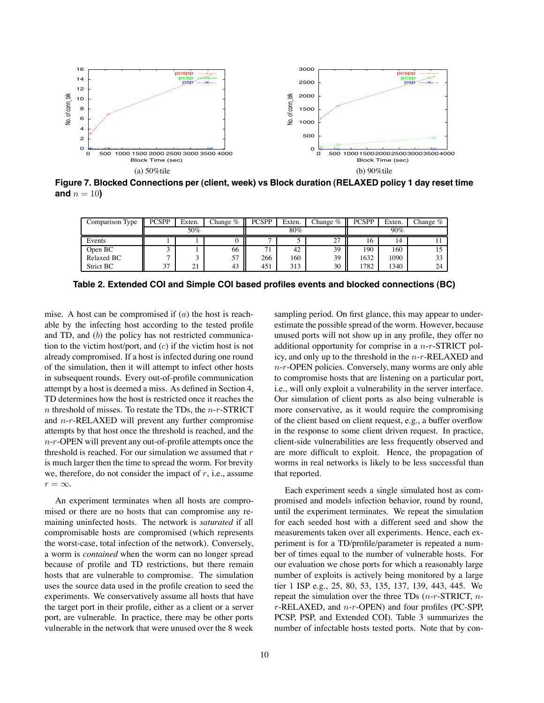

**Figure 7. Blocked Connections per (client, week) vs Block duration (RELAXED policy 1 day reset time and**  $n = 10$ **)** 

| Comparison Type | <b>PCSPP</b> | Exten. | Change % | <b>PCSPP</b> | Exten. | Change % | <b>PCSPP</b> | Exten. | Thange $\%$ |
|-----------------|--------------|--------|----------|--------------|--------|----------|--------------|--------|-------------|
|                 | 50%          |        |          | $80\%$       |        |          | 90%          |        |             |
| Events          |              |        |          | −            |        | 27       | 16           | 14     |             |
| Open BC         |              |        | 66       | 71           | 42     | 39       | 190          | 160    |             |
| Relaxed BC      |              |        | 57       | 266          | 160    | 39       | 1632         | 1090   | 33          |
| Strict BC       | 37           | ∠∎     | 43       | 451          | 313    | 30       | 1782         | 1340   | 24          |

**Table 2. Extended COI and Simple COI based profiles events and blocked connections (BC)**

mise. A host can be compromised if  $(a)$  the host is reachable by the infecting host according to the tested profile and TD, and (b) the policy has not restricted communication to the victim host/port, and  $(c)$  if the victim host is not already compromised. If a host is infected during one round of the simulation, then it will attempt to infect other hosts in subsequent rounds. Every out-of-profile communication attempt by a host is deemed a miss. As defined in Section 4, TD determines how the host is restricted once it reaches the  $n$  threshold of misses. To restate the TDs, the  $n-r$ -STRICT and  $n-r$ -RELAXED will prevent any further compromise attempts by that host once the threshold is reached, and the  $n-r$ -OPEN will prevent any out-of-profile attempts once the threshold is reached. For our simulation we assumed that  $r$ is much larger then the time to spread the worm. For brevity we, therefore, do not consider the impact of  $r$ , i.e., assume  $r = \infty$ .

An experiment terminates when all hosts are compromised or there are no hosts that can compromise any remaining uninfected hosts. The network is *saturated* if all compromisable hosts are compromised (which represents the worst-case, total infection of the network). Conversely, a worm is *contained* when the worm can no longer spread because of profile and TD restrictions, but there remain hosts that are vulnerable to compromise. The simulation uses the source data used in the profile creation to seed the experiments. We conservatively assume all hosts that have the target port in their profile, either as a client or a server port, are vulnerable. In practice, there may be other ports vulnerable in the network that were unused over the 8 week sampling period. On first glance, this may appear to underestimate the possible spread of the worm. However, because unused ports will not show up in any profile, they offer no additional opportunity for comprise in a  $n-r$ -STRICT policy, and only up to the threshold in the  $n-r$ -RELAXED and  $n-r$ -OPEN policies. Conversely, many worms are only able to compromise hosts that are listening on a particular port, i.e., will only exploit a vulnerability in the server interface. Our simulation of client ports as also being vulnerable is more conservative, as it would require the compromising of the client based on client request, e.g., a buffer overflow in the response to some client driven request. In practice, client-side vulnerabilities are less frequently observed and are more difficult to exploit. Hence, the propagation of worms in real networks is likely to be less successful than that reported.

Each experiment seeds a single simulated host as compromised and models infection behavior, round by round, until the experiment terminates. We repeat the simulation for each seeded host with a different seed and show the measurements taken over all experiments. Hence, each experiment is for a TD/profile/parameter is repeated a number of times equal to the number of vulnerable hosts. For our evaluation we chose ports for which a reasonably large number of exploits is actively being monitored by a large tier 1 ISP e.g., 25, 80, 53, 135, 137, 139, 443, 445. We repeat the simulation over the three TDs  $(n-r-\text{STRICT}, n-\text{SFRICT})$  $r$ -RELAXED, and  $n-r$ -OPEN) and four profiles (PC-SPP, PCSP, PSP, and Extended COI). Table 3 summarizes the number of infectable hosts tested ports. Note that by con-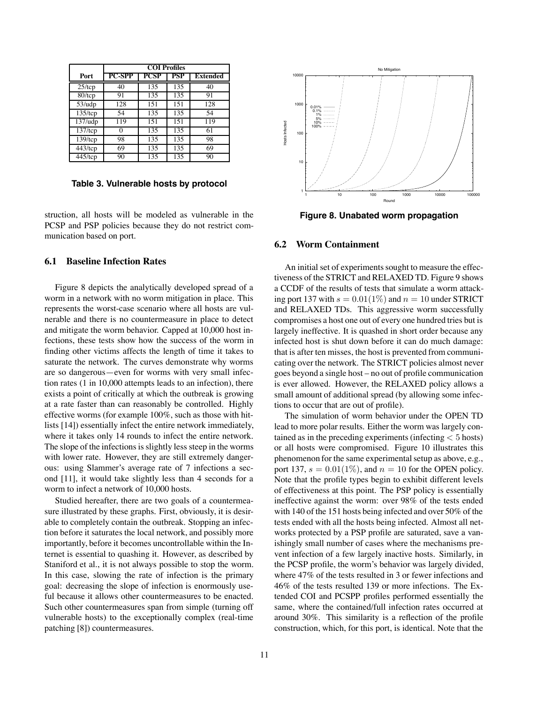|                       | <b>COI</b> Profiles |      |     |                 |  |
|-----------------------|---------------------|------|-----|-----------------|--|
| Port                  | PC-SPP              | PCSP | PSP | <b>Extended</b> |  |
| $25$ /tcp             | 40                  | 135  | 135 | 40              |  |
| $\sqrt{80/1}$ cp      | 91                  | 135  | 135 | 91              |  |
| $53/\mu dp$           | 128                 | 151  | 151 | 128             |  |
| $135$ /tcp            | 54                  | 135  | 135 | 54              |  |
| 137/udp               | 119                 | 151  | 151 | 119             |  |
| $\overline{137}$ /tcp | Ω                   | 135  | 135 | 61              |  |
| $\overline{139}$ /tcp | 98                  | 135  | 135 | 98              |  |
| $\overline{443}$ /tcp | 69                  | 135  | 135 | 69              |  |
| $\overline{4}$ 45/tcp | 90                  | 135  | 135 | 90              |  |

**Table 3. Vulnerable hosts by protocol**

struction, all hosts will be modeled as vulnerable in the PCSP and PSP policies because they do not restrict communication based on port.

#### **6.1 Baseline Infection Rates**

Figure 8 depicts the analytically developed spread of a worm in a network with no worm mitigation in place. This represents the worst-case scenario where all hosts are vulnerable and there is no countermeasure in place to detect and mitigate the worm behavior. Capped at 10,000 host infections, these tests show how the success of the worm in finding other victims affects the length of time it takes to saturate the network. The curves demonstrate why worms are so dangerous—even for worms with very small infection rates (1 in 10,000 attempts leads to an infection), there exists a point of critically at which the outbreak is growing at a rate faster than can reasonably be controlled. Highly effective worms (for example 100%, such as those with hitlists [14]) essentially infect the entire network immediately, where it takes only 14 rounds to infect the entire network. The slope of the infections is slightly less steep in the worms with lower rate. However, they are still extremely dangerous: using Slammer's average rate of 7 infections a second [11], it would take slightly less than 4 seconds for a worm to infect a network of 10,000 hosts.

Studied hereafter, there are two goals of a countermeasure illustrated by these graphs. First, obviously, it is desirable to completely contain the outbreak. Stopping an infection before it saturates the local network, and possibly more importantly, before it becomes uncontrollable within the Internet is essential to quashing it. However, as described by Staniford et al., it is not always possible to stop the worm. In this case, slowing the rate of infection is the primary goal: decreasing the slope of infection is enormously useful because it allows other countermeasures to be enacted. Such other countermeasures span from simple (turning off vulnerable hosts) to the exceptionally complex (real-time patching [8]) countermeasures.



**Figure 8. Unabated worm propagation**

## **6.2 Worm Containment**

An initial set of experiments sought to measure the effectiveness of the STRICT and RELAXED TD. Figure 9 shows a CCDF of the results of tests that simulate a worm attacking port 137 with  $s = 0.01(1\%)$  and  $n = 10$  under STRICT and RELAXED TDs. This aggressive worm successfully compromises a host one out of every one hundred tries but is largely ineffective. It is quashed in short order because any infected host is shut down before it can do much damage: that is after ten misses, the host is prevented from communicating over the network. The STRICT policies almost never goes beyond a single host – no out of profile communication is ever allowed. However, the RELAXED policy allows a small amount of additional spread (by allowing some infections to occur that are out of profile).

The simulation of worm behavior under the OPEN TD lead to more polar results. Either the worm was largely contained as in the preceding experiments (infecting  $< 5$  hosts) or all hosts were compromised. Figure 10 illustrates this phenomenon for the same experimental setup as above, e.g., port 137,  $s = 0.01(1\%)$ , and  $n = 10$  for the OPEN policy. Note that the profile types begin to exhibit different levels of effectiveness at this point. The PSP policy is essentially ineffective against the worm: over 98% of the tests ended with 140 of the 151 hosts being infected and over 50% of the tests ended with all the hosts being infected. Almost all networks protected by a PSP profile are saturated, save a vanishingly small number of cases where the mechanisms prevent infection of a few largely inactive hosts. Similarly, in the PCSP profile, the worm's behavior was largely divided, where 47% of the tests resulted in 3 or fewer infections and 46% of the tests resulted 139 or more infections. The Extended COI and PCSPP profiles performed essentially the same, where the contained/full infection rates occurred at around 30%. This similarity is a reflection of the profile construction, which, for this port, is identical. Note that the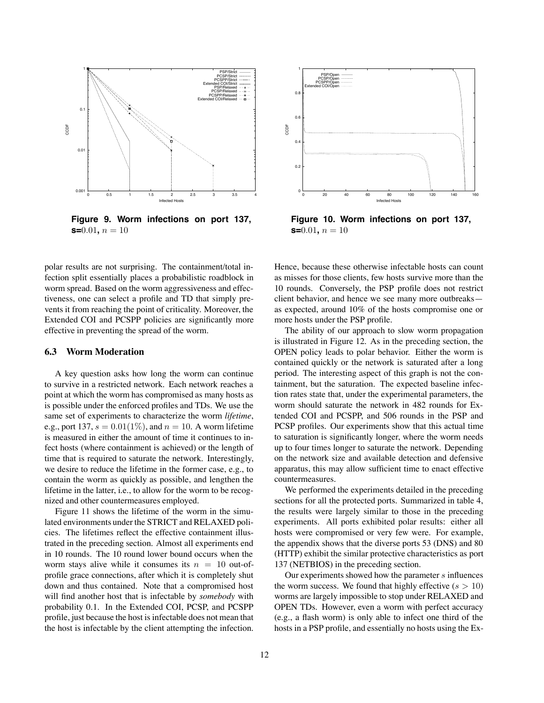

**Figure 9. Worm infections on port 137, s=** $0.01$ ,  $n = 10$ 

polar results are not surprising. The containment/total infection split essentially places a probabilistic roadblock in worm spread. Based on the worm aggressiveness and effectiveness, one can select a profile and TD that simply prevents it from reaching the point of criticality. Moreover, the Extended COI and PCSPP policies are significantly more effective in preventing the spread of the worm.

## **6.3 Worm Moderation**

A key question asks how long the worm can continue to survive in a restricted network. Each network reaches a point at which the worm has compromised as many hosts as is possible under the enforced profiles and TDs. We use the same set of experiments to characterize the worm *lifetime*, e.g., port 137,  $s = 0.01(1\%)$ , and  $n = 10$ . A worm lifetime is measured in either the amount of time it continues to infect hosts (where containment is achieved) or the length of time that is required to saturate the network. Interestingly, we desire to reduce the lifetime in the former case, e.g., to contain the worm as quickly as possible, and lengthen the lifetime in the latter, i.e., to allow for the worm to be recognized and other countermeasures employed.

Figure 11 shows the lifetime of the worm in the simulated environments under the STRICT and RELAXED policies. The lifetimes reflect the effective containment illustrated in the preceding section. Almost all experiments end in 10 rounds. The 10 round lower bound occurs when the worm stays alive while it consumes its  $n = 10$  out-ofprofile grace connections, after which it is completely shut down and thus contained. Note that a compromised host will find another host that is infectable by *somebody* with probability 0.1. In the Extended COI, PCSP, and PCSPP profile, just because the host isinfectable does not mean that the host is infectable by the client attempting the infection.



**Figure 10. Worm infections on port 137, s=** $0.01$ **,**  $n = 10$ 

Hence, because these otherwise infectable hosts can count as misses for those clients, few hosts survive more than the 10 rounds. Conversely, the PSP profile does not restrict client behavior, and hence we see many more outbreaks as expected, around 10% of the hosts compromise one or more hosts under the PSP profile.

The ability of our approach to slow worm propagation is illustrated in Figure 12. As in the preceding section, the OPEN policy leads to polar behavior. Either the worm is contained quickly or the network is saturated after a long period. The interesting aspect of this graph is not the containment, but the saturation. The expected baseline infection rates state that, under the experimental parameters, the worm should saturate the network in 482 rounds for Extended COI and PCSPP, and 506 rounds in the PSP and PCSP profiles. Our experiments show that this actual time to saturation is significantly longer, where the worm needs up to four times longer to saturate the network. Depending on the network size and available detection and defensive apparatus, this may allow sufficient time to enact effective countermeasures.

We performed the experiments detailed in the preceding sections for all the protected ports. Summarized in table 4, the results were largely similar to those in the preceding experiments. All ports exhibited polar results: either all hosts were compromised or very few were. For example, the appendix shows that the diverse ports 53 (DNS) and 80 (HTTP) exhibit the similar protective characteristics as port 137 (NETBIOS) in the preceding section.

Our experiments showed how the parameter  $s$  influences the worm success. We found that highly effective  $(s > 10)$ worms are largely impossible to stop under RELAXED and OPEN TDs. However, even a worm with perfect accuracy (e.g., a flash worm) is only able to infect one third of the hosts in a PSP profile, and essentially no hosts using the Ex-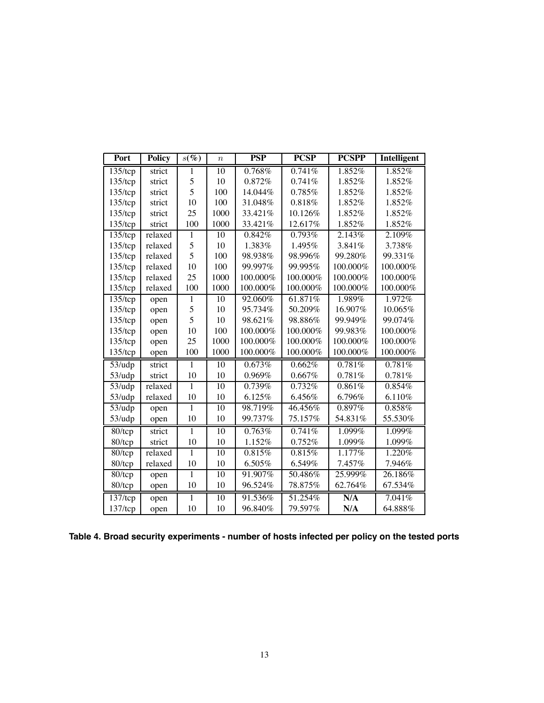| Port                  | <b>Policy</b> | $s(\%)$        | $\boldsymbol{n}$ | <b>PSP</b> | <b>PCSP</b> | <b>PCSPP</b> | Intelligent |
|-----------------------|---------------|----------------|------------------|------------|-------------|--------------|-------------|
| $135$ /tcp            | strict        | 1              | 10               | 0.768%     | 0.741%      | 1.852%       | 1.852%      |
| $135$ /tcp            | strict        | 5              | 10               | 0.872%     | 0.741%      | 1.852%       | 1.852%      |
| $135$ /tcp            | strict        | 5              | 100              | 14.044%    | 0.785%      | 1.852%       | 1.852%      |
| $135$ /tcp            | strict        | 10             | 100              | 31.048%    | 0.818%      | 1.852%       | 1.852%      |
| $135$ /tcp            | strict        | 25             | 1000             | 33.421%    | 10.126%     | 1.852%       | 1.852%      |
| $135$ /tcp            | strict        | 100            | 1000             | 33.421%    | 12.617%     | 1.852%       | 1.852%      |
| $135$ /tcp            | relaxed       | 1              | $\overline{10}$  | 0.842%     | 0.793%      | 2.143%       | 2.109%      |
| $135$ /tcp            | relaxed       | 5              | 10               | 1.383%     | 1.495%      | 3.841%       | 3.738%      |
| $135$ /tcp            | relaxed       | 5              | 100              | 98.938%    | 98.996%     | 99.280%      | 99.331%     |
| $135$ /tcp            | relaxed       | 10             | 100              | 99.997%    | 99.995%     | 100.000%     | 100.000%    |
| $135$ /tcp            | relaxed       | 25             | 1000             | 100.000%   | 100.000%    | 100.000%     | 100.000%    |
| $135$ /tcp            | relaxed       | 100            | 1000             | 100.000%   | 100.000%    | 100.000%     | 100.000%    |
| $\overline{135}$ /tcp | open          | 1              | $\overline{10}$  | 92.060%    | 61.871%     | 1.989%       | 1.972%      |
| $135$ /tcp            | open          | 5              | 10               | 95.734%    | 50.209%     | 16.907%      | 10.065%     |
| $135$ /tcp            | open          | 5              | 10               | 98.621%    | 98.886%     | 99.949%      | 99.074%     |
| $135$ /tcp            | open          | 10             | 100              | 100.000%   | 100.000%    | 99.983%      | 100.000%    |
| $135$ /tcp            | open          | 25             | 1000             | 100.000%   | 100.000%    | 100.000%     | 100.000%    |
| $135$ /tcp            | open          | 100            | 1000             | 100.000%   | 100.000%    | 100.000%     | 100.000%    |
| $53/\mu dp$           | strict        | $\mathbf{1}$   | $\overline{10}$  | 0.673%     | 0.662%      | 0.781%       | 0.781%      |
| 53/udp                | strict        | 10             | 10               | 0.969%     | 0.667%      | 0.781%       | 0.781%      |
| $53/\mu dp$           | relaxed       | 1              | 10               | 0.739%     | 0.732%      | 0.861%       | 0.854%      |
| 53/udp                | relaxed       | 10             | 10               | 6.125%     | 6.456%      | 6.796%       | 6.110%      |
| $53/\mu dp$           | open          | 1              | 10               | 98.719%    | 46.456%     | 0.897%       | 0.858%      |
| 53/udp                | open          | 10             | 10               | 99.737%    | 75.157%     | 54.831%      | 55.530%     |
| $80/$ tcp             | strict        | $\overline{1}$ | 10               | 0.763%     | 0.741%      | 1.099%       | 1.099%      |
| 80/tcp                | strict        | 10             | 10               | 1.152%     | 0.752%      | 1.099%       | 1.099%      |
| 80/tcp                | relaxed       | 1              | 10               | 0.815%     | 0.815%      | 1.177%       | 1.220%      |
| 80/tcp                | relaxed       | 10             | 10               | 6.505%     | 6.549%      | 7.457%       | 7.946%      |
| $80/$ tcp             | open          | 1              | 10               | 91.907%    | 50.486%     | 25.999%      | 26.186%     |
| 80/tcp                | open          | 10             | 10               | 96.524%    | 78.875%     | 62.764%      | 67.534%     |
| $\frac{137}{tcp}$     | open          | 1              | $\overline{10}$  | 91.536%    | 51.254%     | N/A          | 7.041%      |
| $137$ /tcp            | open          | 10             | 10               | 96.840%    | 79.597%     | N/A          | 64.888%     |

**Table 4. Broad security experiments - number of hosts infected per policy on the tested ports**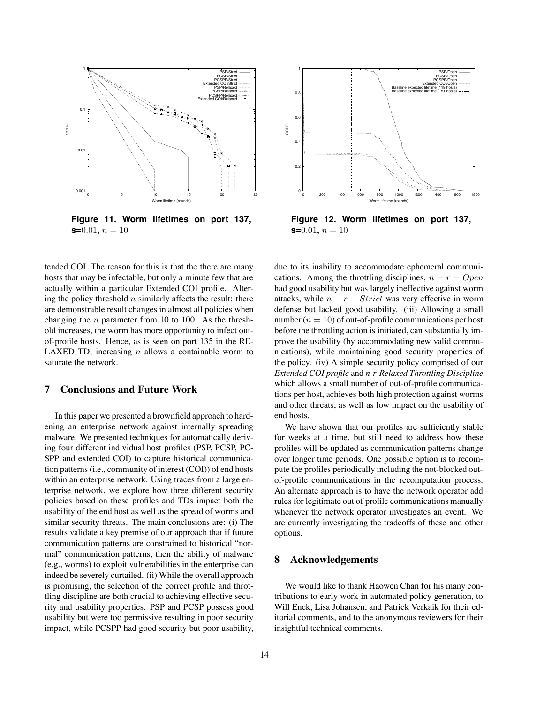

**Figure 11. Worm lifetimes on port 137, s=** $0.01$ ,  $n = 10$ 

tended COI. The reason for this is that the there are many hosts that may be infectable, but only a minute few that are actually within a particular Extended COI profile. Altering the policy threshold  $n$  similarly affects the result: there are demonstrable result changes in almost all policies when changing the *n* parameter from 10 to 100. As the threshold increases, the worm has more opportunity to infect outof-profile hosts. Hence, as is seen on port 135 in the RE-LAXED TD, increasing  $n$  allows a containable worm to saturate the network.

#### **7 Conclusions and Future Work**

In this paper we presented a brownfield approach to hardening an enterprise network against internally spreading malware. We presented techniques for automatically deriving four different individual host profiles (PSP, PCSP, PC-SPP and extended COI) to capture historical communication patterns(i.e., community of interest (COI)) of end hosts within an enterprise network. Using traces from a large enterprise network, we explore how three different security policies based on these profiles and TDs impact both the usability of the end host as well as the spread of worms and similar security threats. The main conclusions are: (i) The results validate a key premise of our approach that if future communication patterns are constrained to historical "normal" communication patterns, then the ability of malware (e.g., worms) to exploit vulnerabilities in the enterprise can indeed be severely curtailed. (ii) While the overall approach is promising, the selection of the correct profile and throttling discipline are both crucial to achieving effective security and usability properties. PSP and PCSP possess good usability but were too permissive resulting in poor security impact, while PCSPP had good security but poor usability,



**Figure 12. Worm lifetimes on port 137, s=**0.01,  $n = 10$ 

due to its inability to accommodate ephemeral communications. Among the throttling disciplines,  $n - r - Open$ had good usability but was largely ineffective against worm attacks, while  $n - r - Strict$  was very effective in worm defense but lacked good usability. (iii) Allowing a small number  $(n = 10)$  of out-of-profile communications per host before the throttling action is initiated, can substantially improve the usability (by accommodating new valid communications), while maintaining good security properties of the policy. (iv) A simple security policy comprised of our *Extended COI profile* and *n-r-Relaxed Throttling Discipline* which allows a small number of out-of-profile communications per host, achieves both high protection against worms and other threats, as well as low impact on the usability of end hosts.

We have shown that our profiles are sufficiently stable for weeks at a time, but still need to address how these profiles will be updated as communication patterns change over longer time periods. One possible option is to recompute the profiles periodically including the not-blocked outof-profile communications in the recomputation process. An alternate approach is to have the network operator add rules for legitimate out of profile communications manually whenever the network operator investigates an event. We are currently investigating the tradeoffs of these and other options.

#### **8 Acknowledgements**

We would like to thank Haowen Chan for his many contributions to early work in automated policy generation, to Will Enck, Lisa Johansen, and Patrick Verkaik for their editorial comments, and to the anonymous reviewers for their insightful technical comments.